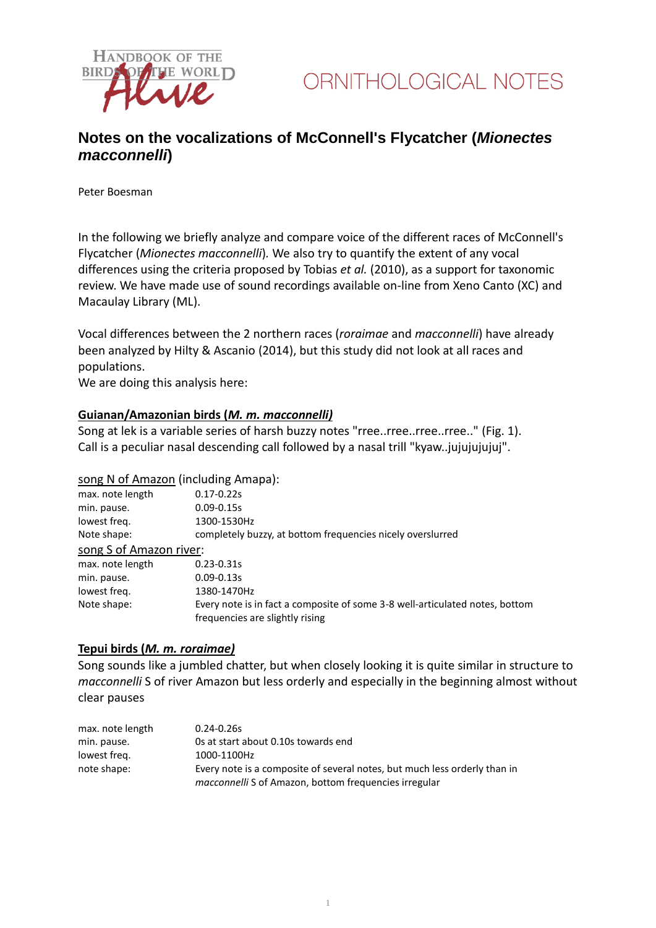

# **Notes on the vocalizations of McConnell's Flycatcher (***Mionectes macconnelli***)**

Peter Boesman

In the following we briefly analyze and compare voice of the different races of McConnell's Flycatcher (*Mionectes macconnelli*)*.* We also try to quantify the extent of any vocal differences using the criteria proposed by Tobias *et al.* (2010), as a support for taxonomic review. We have made use of sound recordings available on-line from Xeno Canto (XC) and Macaulay Library (ML).

Vocal differences between the 2 northern races (*roraimae* and *macconnelli*) have already been analyzed by Hilty & Ascanio (2014), but this study did not look at all races and populations.

We are doing this analysis here:

# **Guianan/Amazonian birds (***M. m. macconnelli)*

Song at lek is a variable series of harsh buzzy notes "rree..rree..rree..rree.." (Fig. 1). Call is a peculiar nasal descending call followed by a nasal trill "kyaw..jujujujujuj".

# song N of Amazon (including Amapa):

| $0.17 - 0.22s$                                                               |
|------------------------------------------------------------------------------|
| $0.09 - 0.15s$                                                               |
| 1300-1530Hz                                                                  |
| completely buzzy, at bottom frequencies nicely overslurred                   |
| song S of Amazon river:                                                      |
| $0.23 - 0.31s$                                                               |
| $0.09 - 0.13s$                                                               |
| 1380-1470Hz                                                                  |
| Every note is in fact a composite of some 3-8 well-articulated notes, bottom |
| frequencies are slightly rising                                              |
|                                                                              |

#### **Tepui birds (***M. m. roraimae)*

Song sounds like a jumbled chatter, but when closely looking it is quite similar in structure to *macconnelli* S of river Amazon but less orderly and especially in the beginning almost without clear pauses

| max. note length | $0.24 - 0.26s$                                                            |
|------------------|---------------------------------------------------------------------------|
| min. pause.      | Os at start about 0.10s towards end                                       |
| lowest freg.     | 1000-1100Hz                                                               |
| note shape:      | Every note is a composite of several notes, but much less orderly than in |
|                  | <i>macconnelli</i> S of Amazon, bottom frequencies irregular              |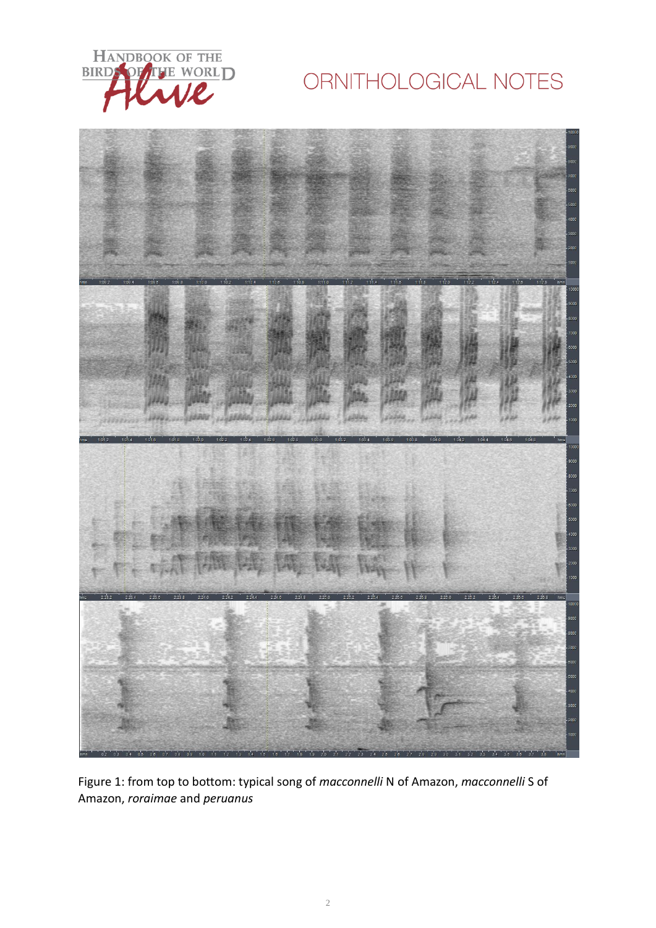

# ORNITHOLOGICAL NOTES



Figure 1: from top to bottom: typical song of *macconnelli* N of Amazon, *macconnelli* S of Amazon, *roraimae* and *peruanus*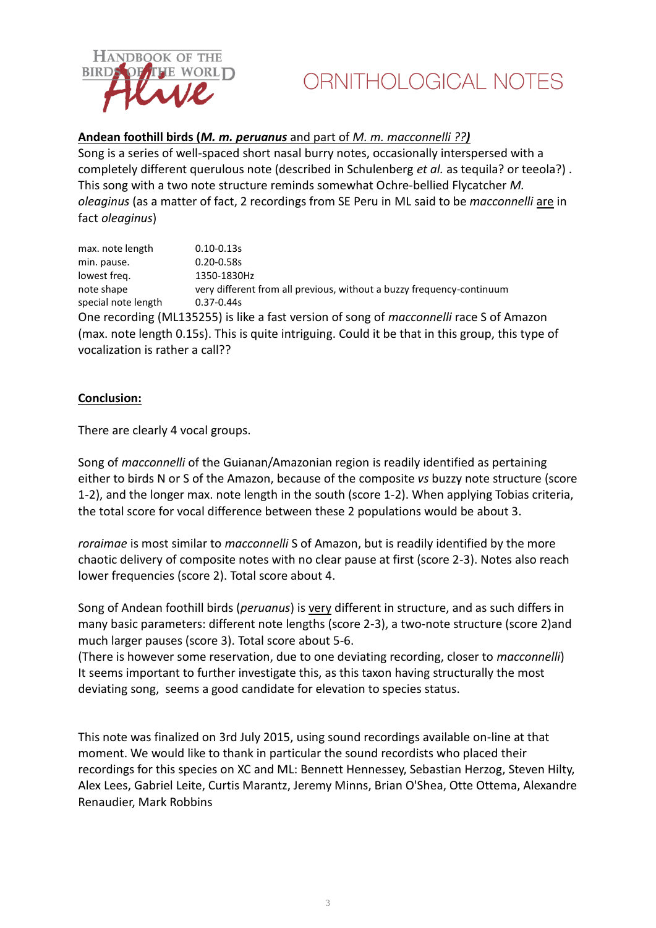

# **Andean foothill birds (***M. m. peruanus* and part of *M. m. macconnelli ??)*

Song is a series of well-spaced short nasal burry notes, occasionally interspersed with a completely different querulous note (described in Schulenberg *et al.* as tequila? or teeola?) . This song with a two note structure reminds somewhat Ochre-bellied Flycatcher *M. oleaginus* (as a matter of fact, 2 recordings from SE Peru in ML said to be *macconnelli* are in fact *oleaginus*)

max. note length 0.10-0.13s min. pause. 0.20-0.58s lowest freq. 1350-1830Hz note shape very different from all previous, without a buzzy frequency-continuum special note length 0.37-0.44s One recording (ML135255) is like a fast version of song of *macconnelli* race S of Amazon (max. note length 0.15s). This is quite intriguing. Could it be that in this group, this type of vocalization is rather a call??

# **Conclusion:**

There are clearly 4 vocal groups.

Song of *macconnelli* of the Guianan/Amazonian region is readily identified as pertaining either to birds N or S of the Amazon, because of the composite *vs* buzzy note structure (score 1-2), and the longer max. note length in the south (score 1-2). When applying Tobias criteria, the total score for vocal difference between these 2 populations would be about 3.

*roraimae* is most similar to *macconnelli* S of Amazon, but is readily identified by the more chaotic delivery of composite notes with no clear pause at first (score 2-3). Notes also reach lower frequencies (score 2). Total score about 4.

Song of Andean foothill birds (*peruanus*) is very different in structure, and as such differs in many basic parameters: different note lengths (score 2-3), a two-note structure (score 2)and much larger pauses (score 3). Total score about 5-6.

(There is however some reservation, due to one deviating recording, closer to *macconnelli*) It seems important to further investigate this, as this taxon having structurally the most deviating song, seems a good candidate for elevation to species status.

This note was finalized on 3rd July 2015, using sound recordings available on-line at that moment. We would like to thank in particular the sound recordists who placed their recordings for this species on XC and ML: Bennett Hennessey, Sebastian Herzog, Steven Hilty, Alex Lees, Gabriel Leite, Curtis Marantz, Jeremy Minns, Brian O'Shea, Otte Ottema, Alexandre Renaudier, Mark Robbins